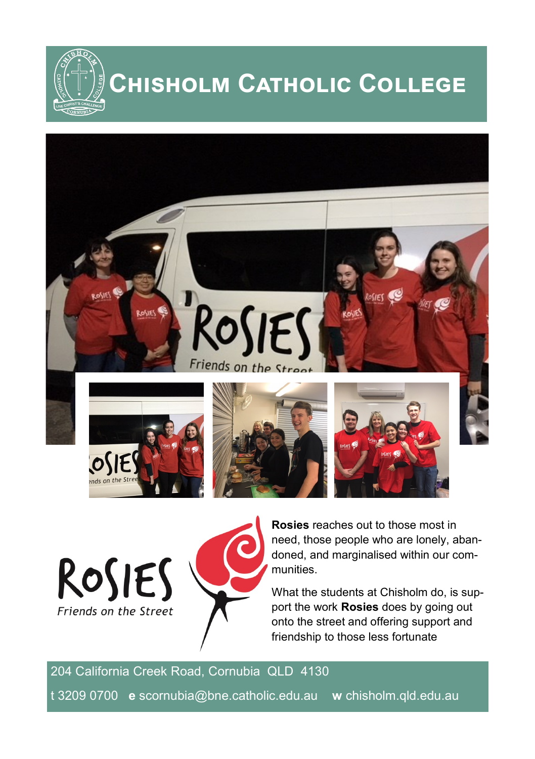**Chisholm Catholic College**



ROSIES Friends on the Street



**Rosies** reaches out to those most in need, those people who are lonely, abandoned, and marginalised within our communities.

What the students at Chisholm do, is support the work **Rosies** does by going out onto the street and offering support and friendship to those less fortunate

204 California Creek Road, Cornubia QLD 4130 t 3209 0700 **e** scornubia@bne.catholic.edu.au **w** chisholm.qld.edu.au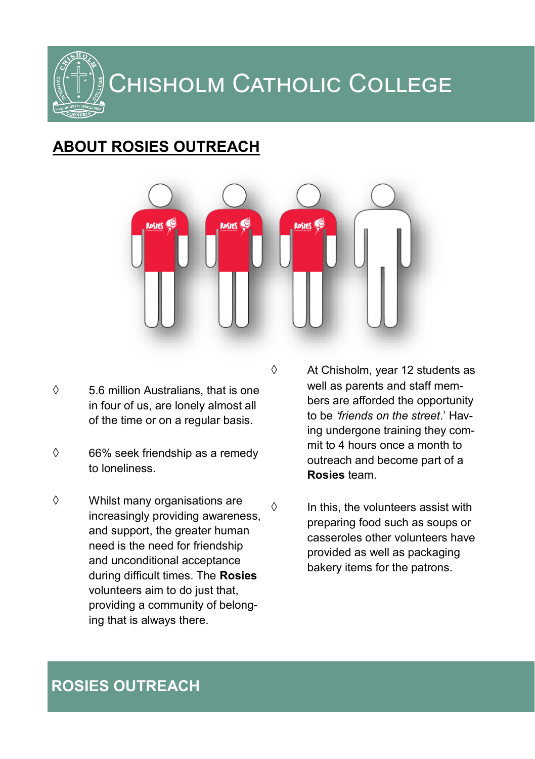Chisholm Catholic College

### **ABOUT ROSIES OUTREACH**



- $\Diamond$  5.6 million Australians, that is one in four of us, are lonely almost all of the time or on a regular basis.
- $\Diamond$  66% seek friendship as a remedy to loneliness.
- Whilst many organisations are increasingly providing awareness, and support, the greater human need is the need for friendship and unconditional acceptance during difficult times. The **Rosies**  volunteers aim to do just that, providing a community of belonging that is always there.

 $\Diamond$  At Chisholm, year 12 students as well as parents and staff members are afforded the opportunity to be *'friends on the street*.' Having undergone training they commit to 4 hours once a month to outreach and become part of a **Rosies** team.

 $\Diamond$  In this, the volunteers assist with preparing food such as soups or casseroles other volunteers have provided as well as packaging bakery items for the patrons.

#### **ROSIES OUTREACH**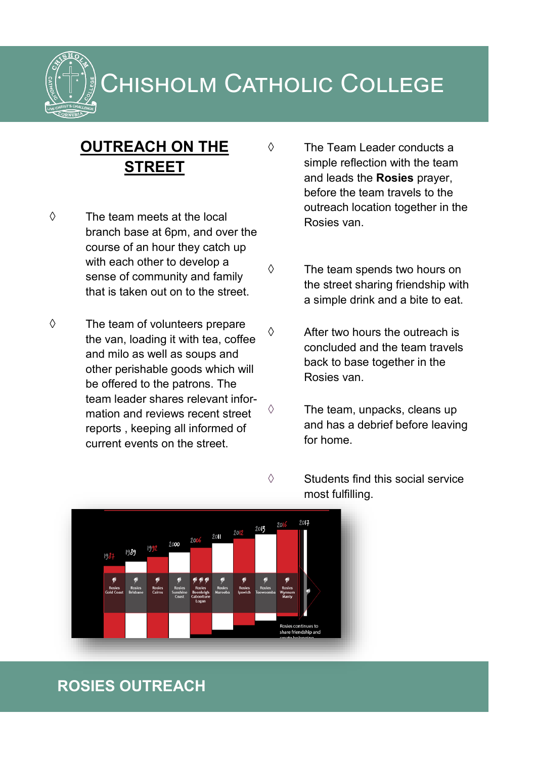## Chisholm Catholic College

#### **OUTREACH ON THE STREET**

- $\Diamond$  The team meets at the local branch base at 6pm, and over the course of an hour they catch up with each other to develop a sense of community and family that is taken out on to the street.
- $\diamond$  The team of volunteers prepare the van, loading it with tea, coffee and milo as well as soups and other perishable goods which will be offered to the patrons. The team leader shares relevant information and reviews recent street reports , keeping all informed of current events on the street.
- The Team Leader conducts a simple reflection with the team and leads the **Rosies** prayer, before the team travels to the outreach location together in the Rosies van.
- $\Diamond$  The team spends two hours on the street sharing friendship with a simple drink and a bite to eat.
- $\Diamond$  After two hours the outreach is concluded and the team travels back to base together in the Rosies van.
- $\Diamond$  The team, unpacks, cleans up and has a debrief before leaving for home.
- $\Diamond$  Students find this social service most fulfilling.



#### **ROSIES OUTREACH**